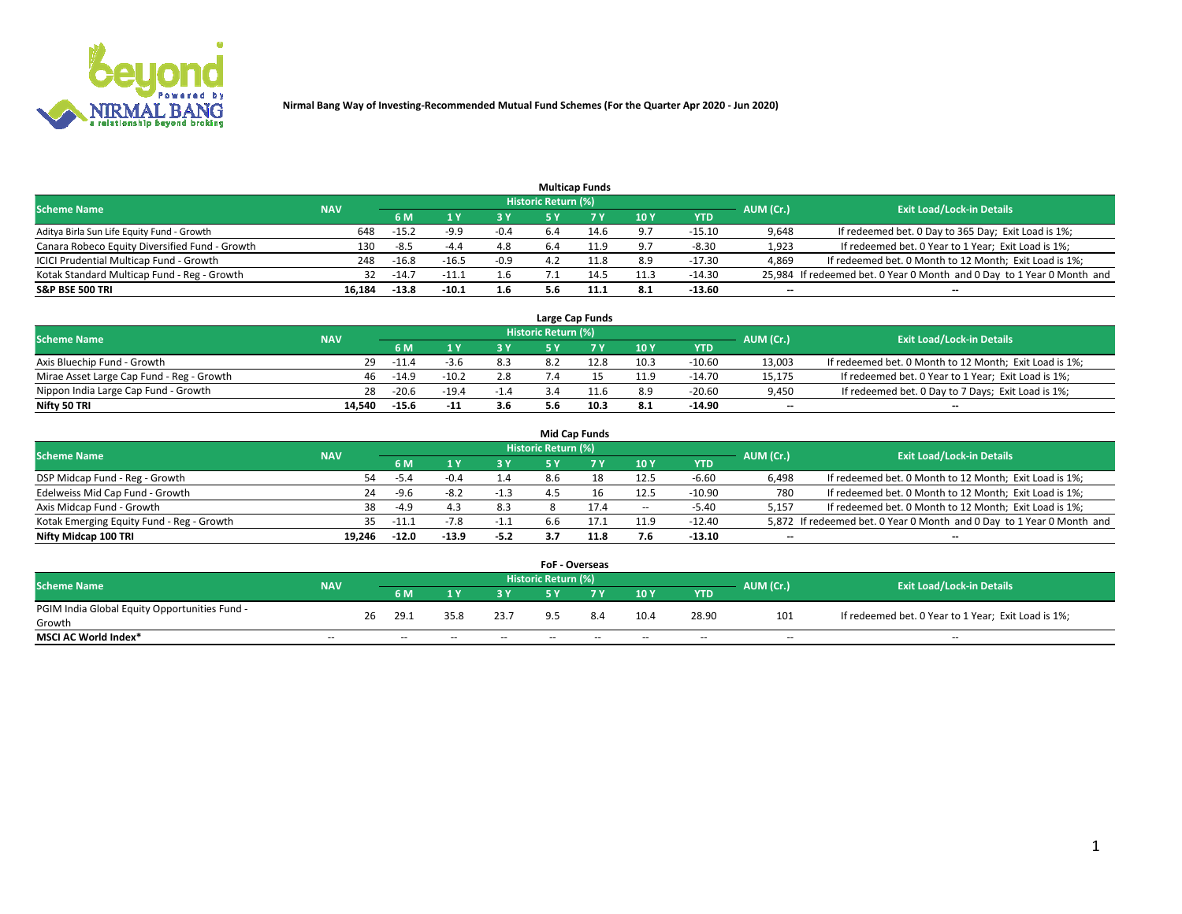

|                                                |            |         |         |        |                     | <b>Multicap Funds</b> |                 |          |                          |                                                                        |
|------------------------------------------------|------------|---------|---------|--------|---------------------|-----------------------|-----------------|----------|--------------------------|------------------------------------------------------------------------|
| <b>Scheme Name</b>                             | <b>NAV</b> |         |         |        | Historic Return (%) |                       |                 |          | AUM (Cr.)                | <b>Exit Load/Lock-in Details</b>                                       |
|                                                |            | 6 M     |         |        |                     |                       | 10 <sub>1</sub> | YTD      |                          |                                                                        |
| Aditya Birla Sun Life Equity Fund - Growth     | 648        | $-15.2$ | -9.9    | $-0.4$ | 6.4                 |                       | 9.7             | $-15.10$ | 9,648                    | If redeemed bet. 0 Day to 365 Day; Exit Load is 1%;                    |
| Canara Robeco Equity Diversified Fund - Growth | 130        | $-8.5$  | $-4.4$  | 4.8    | 6.4                 | 11.9                  | 9.7             | $-8.30$  | 1,923                    | If redeemed bet. 0 Year to 1 Year; Exit Load is 1%;                    |
| ICICI Prudential Multicap Fund - Growth        | 248        | $-16.8$ | $-16.5$ | $-0.9$ |                     | 11.8                  | 8.9             | $-17.30$ | 4,869                    | If redeemed bet. 0 Month to 12 Month; Exit Load is 1%;                 |
| Kotak Standard Multicap Fund - Reg - Growth    | 32         | $-14.7$ |         | 1.6    |                     | 4.5                   | 11.3            | $-14.30$ |                          | 25,984 If redeemed bet. 0 Year 0 Month and 0 Day to 1 Year 0 Month and |
| <b>S&amp;P BSE 500 TRI</b>                     | 16.184     | $-13.8$ | -10.1   | 1.6    | 5.6                 | 11.1                  | -8.1            | $-13.60$ | $\overline{\phantom{a}}$ | $\overline{\phantom{a}}$                                               |

|                                           |            |           |                                  |        |     | Large Cap Funds |      |          |                          |                                                        |
|-------------------------------------------|------------|-----------|----------------------------------|--------|-----|-----------------|------|----------|--------------------------|--------------------------------------------------------|
| <b>Scheme Name</b>                        | <b>NAV</b> | AUM (Cr.) | <b>Exit Load/Lock-in Details</b> |        |     |                 |      |          |                          |                                                        |
|                                           |            | 6 M       |                                  | 3 Y    |     |                 | 10Y  | YTD      |                          |                                                        |
| Axis Bluechip Fund - Growth               | 29         | $-11.4$   |                                  | 8.3    |     |                 | 10.3 | $-10.60$ | 13.003                   | If redeemed bet. 0 Month to 12 Month; Exit Load is 1%; |
| Mirae Asset Large Cap Fund - Reg - Growth | 46         | $-14.9$   | $-10.2$                          | 2.8    |     |                 | 11.9 | $-14.70$ | 15.175                   | If redeemed bet. 0 Year to 1 Year; Exit Load is 1%;    |
| Nippon India Large Cap Fund - Growth      | 28         | $-20.6$   |                                  | $-1.4$ |     |                 | 8.9  | $-20.60$ | 9,450                    | If redeemed bet. 0 Day to 7 Days; Exit Load is 1%;     |
| Nifty 50 TRI                              | 14.540     | $-15.6$   | $-11$                            | 3.6    | 5.6 | 10.3            | 8.1  | $-14.90$ | $\overline{\phantom{a}}$ | $\overline{\phantom{a}}$                               |

|                                           |            |              |        |        |                     | <b>Mid Cap Funds</b> |        |            |           |                                                                       |
|-------------------------------------------|------------|--------------|--------|--------|---------------------|----------------------|--------|------------|-----------|-----------------------------------------------------------------------|
| <b>Scheme Name</b>                        | <b>NAV</b> |              |        |        | Historic Return (%) |                      |        |            | AUM (Cr.) | <b>Exit Load/Lock-in Details</b>                                      |
|                                           |            | 6 M          |        | 3 Y    |                     |                      | 10Y    | <b>YTD</b> |           |                                                                       |
| DSP Midcap Fund - Reg - Growth            |            | 54<br>-5.4   | $-0.4$ | 1.4    | 8.6                 | 18                   | 12.5   | -6.60      | 6.498     | If redeemed bet. 0 Month to 12 Month; Exit Load is 1%;                |
| Edelweiss Mid Cap Fund - Growth           |            | 24<br>-9.6   | -8.2   | $-1.3$ |                     | 16                   | 12.5   | $-10.90$   | 780       | If redeemed bet. 0 Month to 12 Month; Exit Load is 1%;                |
| Axis Midcap Fund - Growth                 |            | 38<br>$-4.9$ |        | 8.3    |                     | 17.4                 | $\sim$ | -5.40      | 5,157     | If redeemed bet. 0 Month to 12 Month; Exit Load is 1%;                |
| Kotak Emerging Equity Fund - Reg - Growth |            | 35.<br>-11.1 |        | -1.1   | 6.6                 |                      | 11.9   | -12.40     |           | 5,872 If redeemed bet. 0 Year 0 Month and 0 Day to 1 Year 0 Month and |
| Nifty Midcap 100 TRI                      | 19.246     | $-12.0$      | -13.9  | $-5.2$ |                     | 11.8                 | 7.6    | $-13.10$   | $- -$     | $\overline{\phantom{a}}$                                              |

|                                               |            |    |      |      |        | <b>FoF - Overseas</b> |     |               |            |           |                                                     |
|-----------------------------------------------|------------|----|------|------|--------|-----------------------|-----|---------------|------------|-----------|-----------------------------------------------------|
| <b>Scheme Name</b>                            | <b>NAV</b> |    |      |      |        | Historic Return (%)   |     |               |            | AUM (Cr.) | <b>Exit Load/Lock-in Details</b>                    |
|                                               |            |    | 6 M  |      |        |                       |     | $\sqrt{10}$ Y | <b>YTD</b> |           |                                                     |
| PGIM India Global Equity Opportunities Fund - |            | 26 | 29.1 | 35.8 | 23.7   | $Q$ 5                 | 8.4 | 10.4          | 28.90      | 101       | If redeemed bet. 0 Year to 1 Year; Exit Load is 1%; |
| Growth                                        |            |    |      |      |        |                       |     |               |            |           |                                                     |
| <b>MSCI AC World Index*</b>                   | $- -$      |    | $-$  | --   | $\sim$ | $- -$                 | --  | $-$           | $-$        | $-$       | $-$                                                 |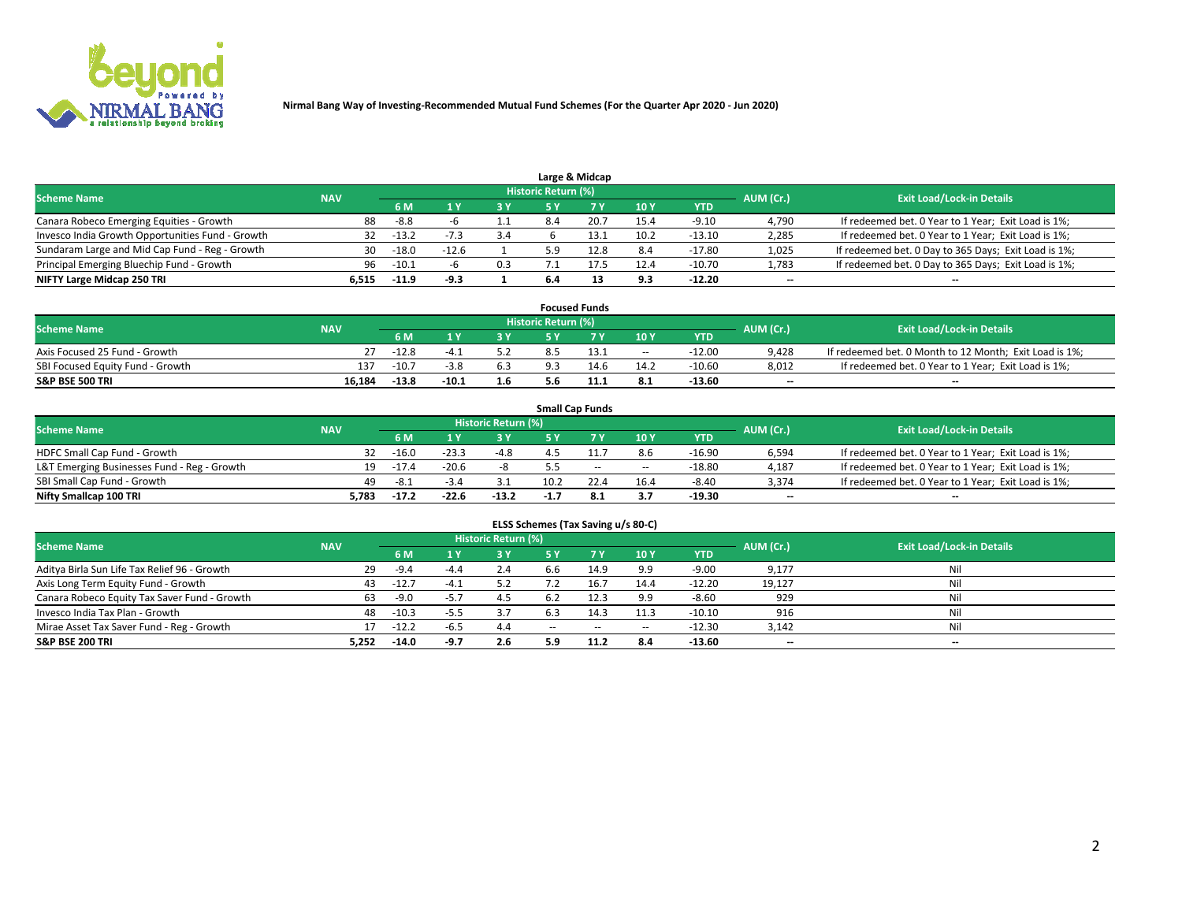

|                                                  |            |         |         |     |                     | Large & Midcap |      |            |           |                                                      |
|--------------------------------------------------|------------|---------|---------|-----|---------------------|----------------|------|------------|-----------|------------------------------------------------------|
| <b>Scheme Name</b>                               | <b>NAV</b> |         |         |     | Historic Return (%) |                |      |            | AUM (Cr.) | <b>Exit Load/Lock-in Details</b>                     |
|                                                  |            | 6 M     |         | 3 Y |                     |                | 10Y  | <b>YTD</b> |           |                                                      |
| Canara Robeco Emerging Equities - Growth         | 88.        | -8.8    |         |     | 8.4                 | 20.7           | 15.4 | $-9.10$    | 4,790     | If redeemed bet. 0 Year to 1 Year; Exit Load is 1%;  |
| Invesco India Growth Opportunities Fund - Growth | 32         | $-13.2$ |         | 3.4 |                     |                | 10.2 | $-13.10$   | 2,285     | If redeemed bet. 0 Year to 1 Year; Exit Load is 1%;  |
| Sundaram Large and Mid Cap Fund - Reg - Growth   | 30         | $-18.0$ | $-12.6$ |     |                     |                | 8.4  | $-17.80$   | 1,025     | If redeemed bet. 0 Day to 365 Days; Exit Load is 1%; |
| Principal Emerging Bluechip Fund - Growth        | 96         | $-10.1$ |         | 0.3 |                     | 17.5           | 12.4 | -10.70     | 1,783     | If redeemed bet. 0 Day to 365 Days; Exit Load is 1%; |
| NIFTY Large Midcap 250 TRI                       | 6.515      | $-11.9$ | -9.3    |     | 6.4                 |                | 9.3  | $-12.20$   | $-$       | $\overline{\phantom{a}}$                             |

|                                  |            |         |         |     |                     | <b>Focused Funds</b> |        |          |           |                                                        |
|----------------------------------|------------|---------|---------|-----|---------------------|----------------------|--------|----------|-----------|--------------------------------------------------------|
| <b>Scheme Name</b>               | <b>NAV</b> |         |         |     | Historic Return (%) |                      |        |          | AUM (Cr.) | <b>Exit Load/Lock-in Details</b>                       |
|                                  |            | 6 M     |         | 2 V |                     | ע ל                  | 10Y    | YTD      |           |                                                        |
| Axis Focused 25 Fund - Growth    | 27         | $-12.8$ | -4      |     |                     |                      | $\sim$ | $-12.00$ | 9.428     | If redeemed bet. 0 Month to 12 Month; Exit Load is 1%; |
| SBI Focused Equity Fund - Growth | 137        | $-10.7$ | $-3.8$  | 6.3 | 9.3                 | 14.6                 | 14.2   | $-10.60$ | 8,012     | If redeemed bet. 0 Year to 1 Year; Exit Load is 1%;    |
| <b>S&amp;P BSE 500 TRI</b>       | 16.184     | $-13.8$ | $-10.1$ | 1.6 |                     |                      | 8.1    | $-13.60$ | $- -$     | $\overline{\phantom{a}}$                               |

|                                             |            |         |         |                     | <b>Small Cap Funds</b> |                          |        |          |                          |                                                     |
|---------------------------------------------|------------|---------|---------|---------------------|------------------------|--------------------------|--------|----------|--------------------------|-----------------------------------------------------|
| <b>Scheme Name</b>                          | <b>NAV</b> |         |         | Historic Return (%) |                        |                          |        |          | AUM (Cr.)                | <b>Exit Load/Lock-in Details</b>                    |
|                                             |            | 6 M     |         | 3 Y                 |                        |                          | 10Y    | YTD      |                          |                                                     |
| HDFC Small Cap Fund - Growth                | 32         | $-16.0$ | $-23.3$ | -4.8                |                        |                          | 8.6    | $-16.90$ | 6,594                    | If redeemed bet. 0 Year to 1 Year; Exit Load is 1%; |
| L&T Emerging Businesses Fund - Reg - Growth | 19.        | $-17.4$ | $-20.6$ |                     |                        | $\overline{\phantom{a}}$ | $\sim$ | $-18.80$ | 4,187                    | If redeemed bet. 0 Year to 1 Year; Exit Load is 1%; |
| SBI Small Cap Fund - Growth                 | 49.        | -8.1    | $-5.4$  |                     | 10.2                   |                          | 16.4   | $-8.40$  | 3,374                    | If redeemed bet. 0 Year to 1 Year; Exit Load is 1%; |
| Nifty Smallcap 100 TRI                      | 5.783      | $-17.2$ | $-22.6$ | $-13.2$             | $-1.7$                 | -8.1                     | 3.7    | $-19.30$ | $\overline{\phantom{a}}$ | $\overline{\phantom{a}}$                            |

| ELSS Schemes (Tax Saving u/s 80-C)           |                                                                             |         |        |     |       |        |        |            |        |                                  |  |  |  |  |  |
|----------------------------------------------|-----------------------------------------------------------------------------|---------|--------|-----|-------|--------|--------|------------|--------|----------------------------------|--|--|--|--|--|
|                                              | <b>Historic Return (%)</b><br><b>Scheme Name</b><br>AUM (Cr.)<br><b>NAV</b> |         |        |     |       |        |        |            |        |                                  |  |  |  |  |  |
|                                              |                                                                             | 6 M     |        | 3 Y |       |        | 10Y    | <b>YTD</b> |        | <b>Exit Load/Lock-in Details</b> |  |  |  |  |  |
| Aditya Birla Sun Life Tax Relief 96 - Growth | 29                                                                          | $-9.4$  | $-4.4$ | 2.4 | 6.6   | 14.9   | 9.9    | $-9.00$    | 9,177  | Ni                               |  |  |  |  |  |
| Axis Long Term Equity Fund - Growth          | 43                                                                          | $-12.7$ | $-4.1$ | 5.2 |       | 16.7   | 14.4   | $-12.20$   | 19,127 | Ni                               |  |  |  |  |  |
| Canara Robeco Equity Tax Saver Fund - Growth | 63                                                                          | -9.0    | $-5.7$ | 4.5 | 6.2   | 12.3   | 9.9    | $-8.60$    | 929    | Ni                               |  |  |  |  |  |
| Invesco India Tax Plan - Growth              | 48                                                                          | $-10.3$ | -5.5   | 3.7 | 6.3   | 14.3   | 11.3   | $-10.10$   | 916    | Ni                               |  |  |  |  |  |
| Mirae Asset Tax Saver Fund - Reg - Growth    | 17                                                                          | $-12.2$ | -6.5   | 4.4 | $- -$ | $\sim$ | $\sim$ | $-12.30$   | 3,142  | Ni                               |  |  |  |  |  |
| <b>S&amp;P BSE 200 TRI</b>                   | 5,252                                                                       | $-14.0$ | -9.7   | 2.6 | 5.9   | 11.2   | 8.4    | $-13.60$   | $- -$  | $\overline{\phantom{a}}$         |  |  |  |  |  |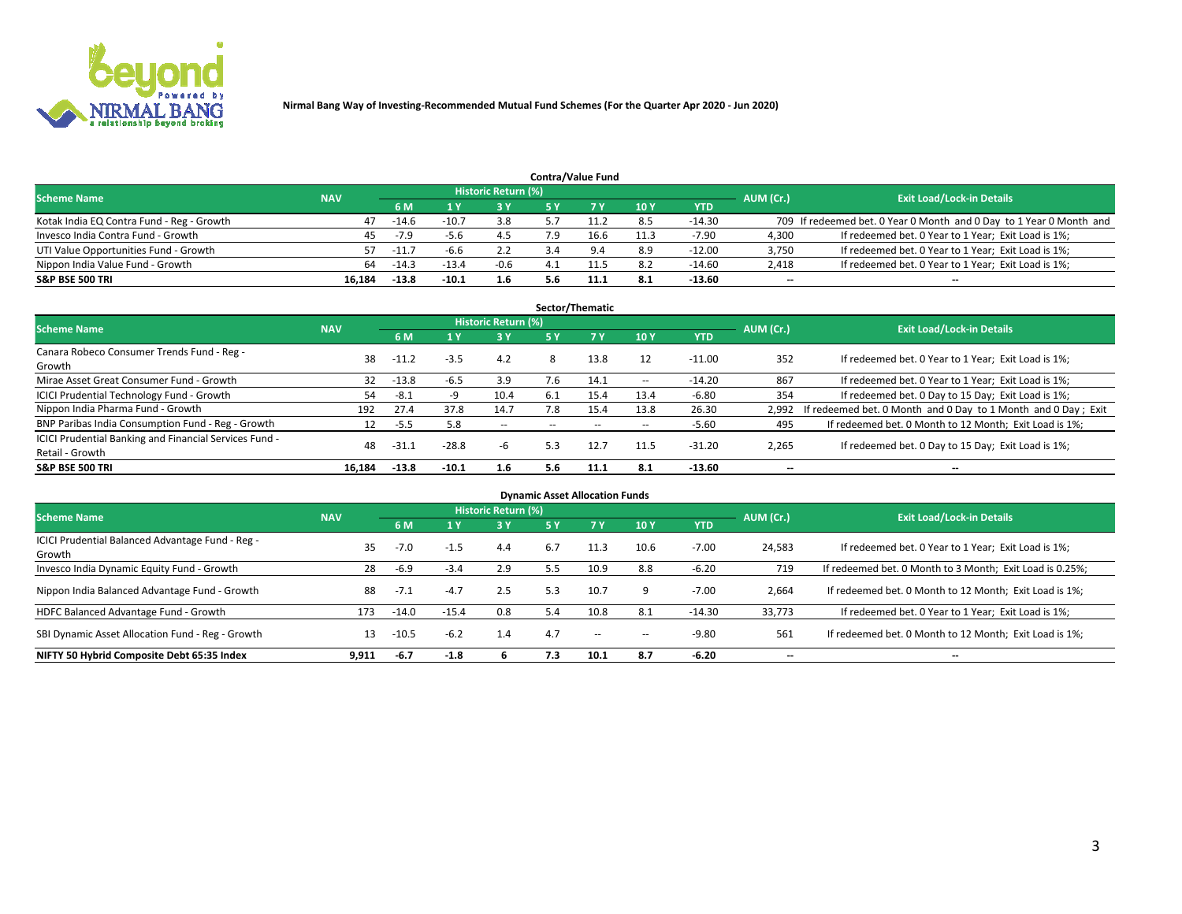

|                                           |            |         |         |                            |     | <b>Contra/Value Fund</b> |      |            |           |                                                                     |
|-------------------------------------------|------------|---------|---------|----------------------------|-----|--------------------------|------|------------|-----------|---------------------------------------------------------------------|
| <b>Scheme Name</b>                        | <b>NAV</b> |         |         | <b>Historic Return (%)</b> |     |                          |      |            |           | <b>Exit Load/Lock-in Details</b>                                    |
|                                           |            | 6 M     |         | 3 Y                        |     | <b>7 Y</b>               | 10Y  | <b>YTD</b> | AUM (Cr.) |                                                                     |
| Kotak India EQ Contra Fund - Reg - Growth | 47         | $-14.6$ | $-10.7$ | 3.8                        |     |                          | 8.5  | -14.30     |           | 709 If redeemed bet. 0 Year 0 Month and 0 Day to 1 Year 0 Month and |
| Invesco India Contra Fund - Growth        | 45         | $-7.9$  |         |                            | ם ל | 16.6                     | 11.3 | $-7.90$    | 4.300     | If redeemed bet. 0 Year to 1 Year; Exit Load is 1%;                 |
| UTI Value Opportunities Fund - Growth     | 57.        | $-11.$  | -6.6    | 2.2                        |     | $Q \Lambda$              | 8.9  | $-12.00$   | 3,750     | If redeemed bet. 0 Year to 1 Year; Exit Load is 1%;                 |
| Nippon India Value Fund - Growth          | 64         | $-14.3$ | $-13.4$ | $-0.6$                     |     |                          | 8.2  | $-14.60$   | 2,418     | If redeemed bet. 0 Year to 1 Year; Exit Load is 1%;                 |
| <b>S&amp;P BSE 500 TRI</b>                | 16.184     | $-13.8$ | $-10.1$ | 1.6                        | 5.6 | 11.1                     | 8.1  | $-13.60$   | $- -$     | $\overline{\phantom{a}}$                                            |

|                                                        |            |         |         |                     |      | Sector/Thematic |        |            |                          |                                                               |
|--------------------------------------------------------|------------|---------|---------|---------------------|------|-----------------|--------|------------|--------------------------|---------------------------------------------------------------|
| <b>Scheme Name</b>                                     | <b>NAV</b> |         |         | Historic Return (%) |      |                 |        |            | AUM (Cr.)                | <b>Exit Load/Lock-in Details</b>                              |
|                                                        |            | 6 M     |         | 3Y                  | 5 Y  | <b>7Y</b>       | 10Y    | <b>YTD</b> |                          |                                                               |
| Canara Robeco Consumer Trends Fund - Reg -             |            |         |         |                     | 8    |                 |        |            | 352                      |                                                               |
| Growth                                                 | 38         | $-11.2$ | $-3.5$  | 4.2                 |      | 13.8            | 12     | $-11.00$   |                          | If redeemed bet. 0 Year to 1 Year; Exit Load is 1%;           |
| Mirae Asset Great Consumer Fund - Growth               | 32         | $-13.8$ | -6.5    | 3.9                 | 7.6  | 14.1            | $- -$  | $-14.20$   | 867                      | If redeemed bet. 0 Year to 1 Year; Exit Load is 1%;           |
| ICICI Prudential Technology Fund - Growth              | 54         | $-8.1$  |         | 10.4                | -6.1 | 15.4            | 13.4   | $-6.80$    | 354                      | If redeemed bet. 0 Day to 15 Day; Exit Load is 1%;            |
| Nippon India Pharma Fund - Growth                      | 192        | 27.4    | 37.8    | 14.7                | 7.8  | 15.4            | 13.8   | 26.30      | 2,992                    | If redeemed bet. 0 Month and 0 Day to 1 Month and 0 Day; Exit |
| BNP Paribas India Consumption Fund - Reg - Growth      |            | -5.5    | 5.8     | $- -$               |      | $\sim$          | $\sim$ | $-5.60$    | 495                      | If redeemed bet. 0 Month to 12 Month; Exit Load is 1%;        |
| ICICI Prudential Banking and Financial Services Fund - |            | $-31.7$ | $-28.8$ | -6                  | 5.3  | 12.7            |        | $-31.20$   |                          |                                                               |
| Retail - Growth                                        | 48         |         |         |                     |      |                 | 11.5   |            | 2,265                    | If redeemed bet. 0 Day to 15 Day; Exit Load is 1%;            |
| <b>S&amp;P BSE 500 TRI</b>                             | 16.184     | $-13.8$ | $-10.1$ | 1.6                 | 5.6  | 11.1            | 8.1    | $-13.60$   | $\overline{\phantom{a}}$ | $\overline{\phantom{a}}$                                      |

| <b>Dynamic Asset Allocation Funds</b>                      |            |         |         |                     |     |        |            |            |                          |                                                          |  |  |  |
|------------------------------------------------------------|------------|---------|---------|---------------------|-----|--------|------------|------------|--------------------------|----------------------------------------------------------|--|--|--|
| <b>Scheme Name</b>                                         | <b>NAV</b> |         |         | Historic Return (%) |     |        |            |            | AUM (Cr.)                | <b>Exit Load/Lock-in Details</b>                         |  |  |  |
|                                                            |            | 6 M     |         | 3Y                  | 5 Y | 7Y     | 10Y        | <b>YTD</b> |                          |                                                          |  |  |  |
| ICICI Prudential Balanced Advantage Fund - Reg -<br>Growth | 35.        | $-7.0$  | $-1.5$  | 4.4                 | 6.7 | 11.3   | 10.6       | $-7.00$    | 24,583                   | If redeemed bet. 0 Year to 1 Year; Exit Load is 1%;      |  |  |  |
| Invesco India Dynamic Equity Fund - Growth                 | 28         | $-6.9$  | $-3.4$  | 2.9                 | 5.5 | 10.9   | 8.8        | $-6.20$    | 719                      | If redeemed bet. 0 Month to 3 Month; Exit Load is 0.25%; |  |  |  |
| Nippon India Balanced Advantage Fund - Growth              | 88         | $-7.1$  | $-4.7$  | 2.5                 | 5.3 | 10.7   | 9          | $-7.00$    | 2,664                    | If redeemed bet. 0 Month to 12 Month; Exit Load is 1%;   |  |  |  |
| HDFC Balanced Advantage Fund - Growth                      | 173        | $-14.0$ | $-15.4$ | 0.8                 | 5.4 | 10.8   | 8.1        | $-14.30$   | 33,773                   | If redeemed bet. 0 Year to 1 Year; Exit Load is 1%;      |  |  |  |
| SBI Dynamic Asset Allocation Fund - Reg - Growth           | 13         | $-10.5$ | $-6.2$  | 1.4                 | 4.7 | $\sim$ | $\sim$ $-$ | $-9.80$    | 561                      | If redeemed bet. 0 Month to 12 Month; Exit Load is 1%;   |  |  |  |
| NIFTY 50 Hybrid Composite Debt 65:35 Index                 | 9,911      | $-6.7$  | $-1.8$  |                     | 7.3 | 10.1   | 8.7        | $-6.20$    | $\overline{\phantom{a}}$ | $\overline{\phantom{a}}$                                 |  |  |  |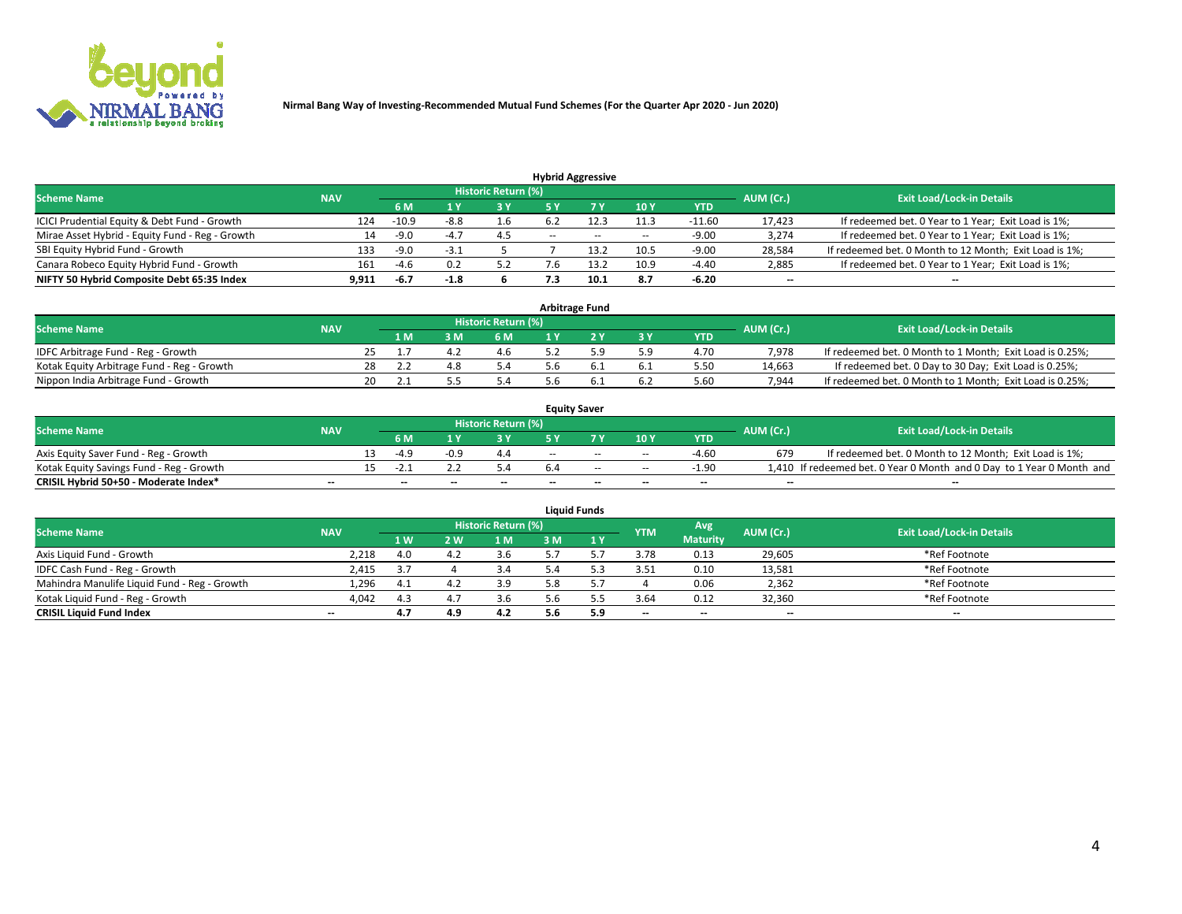

|                                                 |            |                                  |        |     |        | <b>Hybrid Aggressive</b> |        |            |        |                                                        |
|-------------------------------------------------|------------|----------------------------------|--------|-----|--------|--------------------------|--------|------------|--------|--------------------------------------------------------|
| <b>Scheme Name</b>                              | AUM (Cr.)  | <b>Exit Load/Lock-in Details</b> |        |     |        |                          |        |            |        |                                                        |
|                                                 | <b>NAV</b> | 6 M                              |        | 3Y  |        |                          | 10Y    | <b>YTD</b> |        |                                                        |
| ICICI Prudential Equity & Debt Fund - Growth    | 124        | $-10.9$                          | -8.8   | 1.6 |        |                          | 11.3   | $-11.60$   | 17,423 | If redeemed bet. 0 Year to 1 Year; Exit Load is 1%;    |
| Mirae Asset Hybrid - Equity Fund - Reg - Growth | 14         | $-9.0$                           | $-4$ . | 4.5 | $\sim$ | $\sim$                   | $\sim$ | $-9.00$    | 3,274  | If redeemed bet. 0 Year to 1 Year; Exit Load is 1%;    |
| SBI Equity Hybrid Fund - Growth                 | 133        | $-9.0$                           | $-3.1$ |     |        | 12つ                      | 10.5   | $-9.00$    | 28,584 | If redeemed bet. 0 Month to 12 Month; Exit Load is 1%; |
| Canara Robeco Equity Hybrid Fund - Growth       | 161        | $-4.6$                           |        | 5.2 | '.b    |                          | 10.9   | $-4.40$    | 2,885  | If redeemed bet. 0 Year to 1 Year; Exit Load is 1%;    |
| NIFTY 50 Hybrid Composite Debt 65:35 Index      | 9,911      | -6.7                             | $-1.8$ |     |        | 10.1                     | 8.7    | $-6.20$    | $- -$  | --                                                     |

| <b>Arbitrage Fund</b>                      |            |  |    |       |                            |  |  |           |            |           |                                                          |  |  |  |
|--------------------------------------------|------------|--|----|-------|----------------------------|--|--|-----------|------------|-----------|----------------------------------------------------------|--|--|--|
| <b>Scheme Name</b>                         | <b>NAV</b> |  |    |       | <b>Historic Return (%)</b> |  |  |           |            | AUM (Cr.) | <b>Exit Load/Lock-in Details</b>                         |  |  |  |
|                                            |            |  | ıм | 8 M S | 6 M                        |  |  | <b>3Y</b> | <b>YTD</b> |           |                                                          |  |  |  |
| IDFC Arbitrage Fund - Reg - Growth         |            |  |    |       | 4.6                        |  |  | 5.9       | 4.70       | 7.978     | If redeemed bet. 0 Month to 1 Month; Exit Load is 0.25%; |  |  |  |
| Kotak Equity Arbitrage Fund - Reg - Growth |            |  |    |       | 5.4                        |  |  | 6.1       | 5.50       | 14.663    | If redeemed bet. 0 Day to 30 Day; Exit Load is 0.25%;    |  |  |  |
| Nippon India Arbitrage Fund - Growth       |            |  |    |       | 5.4                        |  |  |           | 5.60       | 7.944     | If redeemed bet. 0 Month to 1 Month; Exit Load is 0.25%; |  |  |  |

| <b>Equity Saver</b>                      |            |  |                          |      |                     |     |                          |                          |                          |           |                                                                       |  |  |  |
|------------------------------------------|------------|--|--------------------------|------|---------------------|-----|--------------------------|--------------------------|--------------------------|-----------|-----------------------------------------------------------------------|--|--|--|
| <b>Scheme Name</b>                       | <b>NAV</b> |  |                          |      | Historic Return (%) |     |                          |                          |                          | AUM (Cr.) | <b>Exit Load/Lock-in Details</b>                                      |  |  |  |
|                                          |            |  | 6 M                      |      | 3 Y                 |     |                          | 10Y                      | <b>YTD</b>               |           |                                                                       |  |  |  |
| Axis Equity Saver Fund - Reg - Growth    |            |  | $-4.9$                   | -0.9 |                     | $-$ | $-$                      | $\sim$                   | $-4.60$                  | 679       | If redeemed bet. 0 Month to 12 Month; Exit Load is 1%;                |  |  |  |
| Kotak Equity Savings Fund - Reg - Growth |            |  | $-2$                     |      |                     |     | $-$                      | $-$                      | $-1.90$                  |           | 1,410 If redeemed bet. 0 Year 0 Month and 0 Day to 1 Year 0 Month and |  |  |  |
| CRISIL Hybrid 50+50 - Moderate Index*    | $- -$      |  | $\overline{\phantom{a}}$ | --   | $- -$               | $-$ | $\overline{\phantom{a}}$ | $\overline{\phantom{a}}$ | $\overline{\phantom{a}}$ | $- -$     | $\overline{\phantom{a}}$                                              |  |  |  |

| <b>Liquid Funds</b>                          |                          |      |     |                     |     |     |                          |                          |           |                                  |  |  |  |
|----------------------------------------------|--------------------------|------|-----|---------------------|-----|-----|--------------------------|--------------------------|-----------|----------------------------------|--|--|--|
| <b>Scheme Name</b>                           | <b>NAV</b>               |      |     | Historic Return (%) |     |     | <b>YTM</b>               | Avg                      | AUM (Cr.) | <b>Exit Load/Lock-in Details</b> |  |  |  |
|                                              |                          | 1 W  | 2 W | 1 M                 |     | 1 Y |                          | <b>Maturity</b>          |           |                                  |  |  |  |
| Axis Liguid Fund - Growth                    | 2,218                    | 4.0  |     | 3.6                 |     |     | 3.78                     | 0.13                     | 29,605    | *Ref Footnote                    |  |  |  |
| IDFC Cash Fund - Reg - Growth                | 2,415                    | 3.,  |     |                     |     |     | 3.51                     | 0.10                     | 13,581    | *Ref Footnote                    |  |  |  |
| Mahindra Manulife Liquid Fund - Reg - Growth | 1,296                    | -4.1 |     | 3.9                 | 5.8 |     |                          | 0.06                     | 2,362     | *Ref Footnote                    |  |  |  |
| Kotak Liquid Fund - Reg - Growth             | 4,042                    | 4.3  |     | 3.6                 | 5.b |     | 3.64                     | 0.12                     | 32,360    | *Ref Footnote                    |  |  |  |
| <b>CRISIL Liquid Fund Index</b>              | $\overline{\phantom{a}}$ | 4.7  |     | 4.2                 | 5.6 | 5.9 | $\overline{\phantom{a}}$ | $\overline{\phantom{a}}$ | $- -$     | $\overline{\phantom{a}}$         |  |  |  |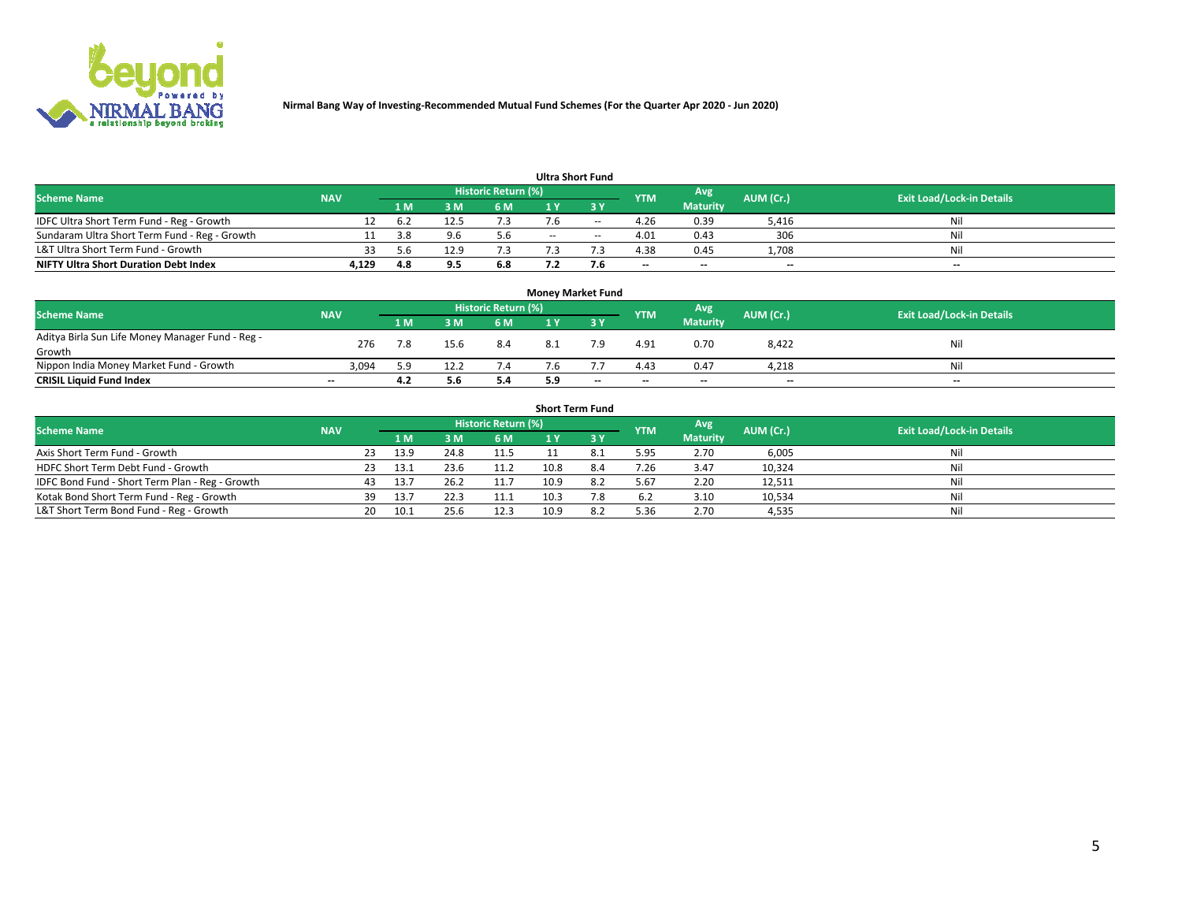

| <b>Ultra Short Fund</b>                       |            |     |      |                            |        |               |                          |                 |           |                                  |  |  |  |  |
|-----------------------------------------------|------------|-----|------|----------------------------|--------|---------------|--------------------------|-----------------|-----------|----------------------------------|--|--|--|--|
| <b>Scheme Name</b>                            | <b>NAV</b> |     |      | <b>Historic Return (%)</b> |        |               | <b>YTM</b>               | Avg             | AUM (Cr.) | <b>Exit Load/Lock-in Details</b> |  |  |  |  |
|                                               |            | 1 M |      | <b>6M</b>                  |        | २ ४           |                          | <b>Maturity</b> |           |                                  |  |  |  |  |
| IDFC Ultra Short Term Fund - Reg - Growth     | 12         | 6.2 | 12.5 |                            |        | $\sim$ $\sim$ | 4.26                     | 0.39            | 5,416     | Nil                              |  |  |  |  |
| Sundaram Ultra Short Term Fund - Reg - Growth |            | 3.8 |      | 5.6                        | $\sim$ | $\sim$        | 4.01                     | 0.43            | 306       | Nil                              |  |  |  |  |
| L&T Ultra Short Term Fund - Growth            | 33         | 56  | 12.9 |                            |        |               | 4.38                     | 0.45            | 1,708     | Nil                              |  |  |  |  |
| <b>NIFTY Ultra Short Duration Debt Index</b>  | 4,129      | 4.8 | 9.5  | 6.8                        |        | 7.Ь           | $\overline{\phantom{a}}$ | $-$             | $- -$     | $- -$                            |  |  |  |  |

| <b>Money Market Fund</b>                         |            |     |      |                     |     |       |            |                 |           |                                  |  |  |  |  |
|--------------------------------------------------|------------|-----|------|---------------------|-----|-------|------------|-----------------|-----------|----------------------------------|--|--|--|--|
| <b>Scheme Name</b>                               | <b>NAV</b> |     |      | Historic Return (%) |     |       | <b>YTM</b> | Avg             | AUM (Cr.) | <b>Exit Load/Lock-in Details</b> |  |  |  |  |
|                                                  |            | 1 M | 3 M  | 6 M                 |     | 3 Y   |            | <b>Maturity</b> |           |                                  |  |  |  |  |
| Aditya Birla Sun Life Money Manager Fund - Reg - | 276        |     | 15.6 | 8.4                 |     | ہ ج   | 4.91       | 0.70            | 8,422     | Nil                              |  |  |  |  |
| Growth                                           |            |     |      |                     |     |       |            |                 |           |                                  |  |  |  |  |
| Nippon India Money Market Fund - Growth          | 3.094      | 5.9 | 12.2 | 7.4                 | '.b |       | 4.43       | 0.47            | 4.218     | Nil                              |  |  |  |  |
| <b>CRISIL Liquid Fund Index</b>                  | $- -$      | 4.2 | 5.6  | 5.4                 | 5.9 | $- -$ | $-$        | $-$             | $- -$     | $- -$                            |  |  |  |  |

| <b>Short Term Fund</b>                          |            |     |      |      |                     |      |     |            |                 |           |                                  |  |  |
|-------------------------------------------------|------------|-----|------|------|---------------------|------|-----|------------|-----------------|-----------|----------------------------------|--|--|
| <b>Scheme Name</b>                              | <b>NAV</b> |     |      |      | Historic Return (%) |      |     | <b>YTM</b> | Avg             | AUM (Cr.) | <b>Exit Load/Lock-in Details</b> |  |  |
|                                                 |            |     | 1 M. | 3 M. | 6 M                 |      | 3 Y |            | <b>Maturity</b> |           |                                  |  |  |
| Axis Short Term Fund - Growth                   |            | 23  | 13.9 | 24.8 | 11.5                |      |     | 5.95       | 2.70            | 6,005     | Nil                              |  |  |
| HDFC Short Term Debt Fund - Growth              |            | 23  | 13.1 | 23.6 | 11.2                | 10.8 |     | 7.26       | 3.47            | 10,324    | Nil                              |  |  |
| IDFC Bond Fund - Short Term Plan - Reg - Growth |            |     | 13.7 | 26.2 | 11.7                | 10.9 | 8.2 | 5.67       | 2.20            | 12,511    | Nil                              |  |  |
| Kotak Bond Short Term Fund - Reg - Growth       |            | 39  | 13.7 | 22.3 | 11.1                | 10.3 | 7.8 | 6.2        | 3.10            | 10,534    | Nil                              |  |  |
| L&T Short Term Bond Fund - Reg - Growth         |            | 20. | 10.1 | 25.6 | 12.3                | 10.9 |     | 5.36       | 2.70            | 4,535     | Nil                              |  |  |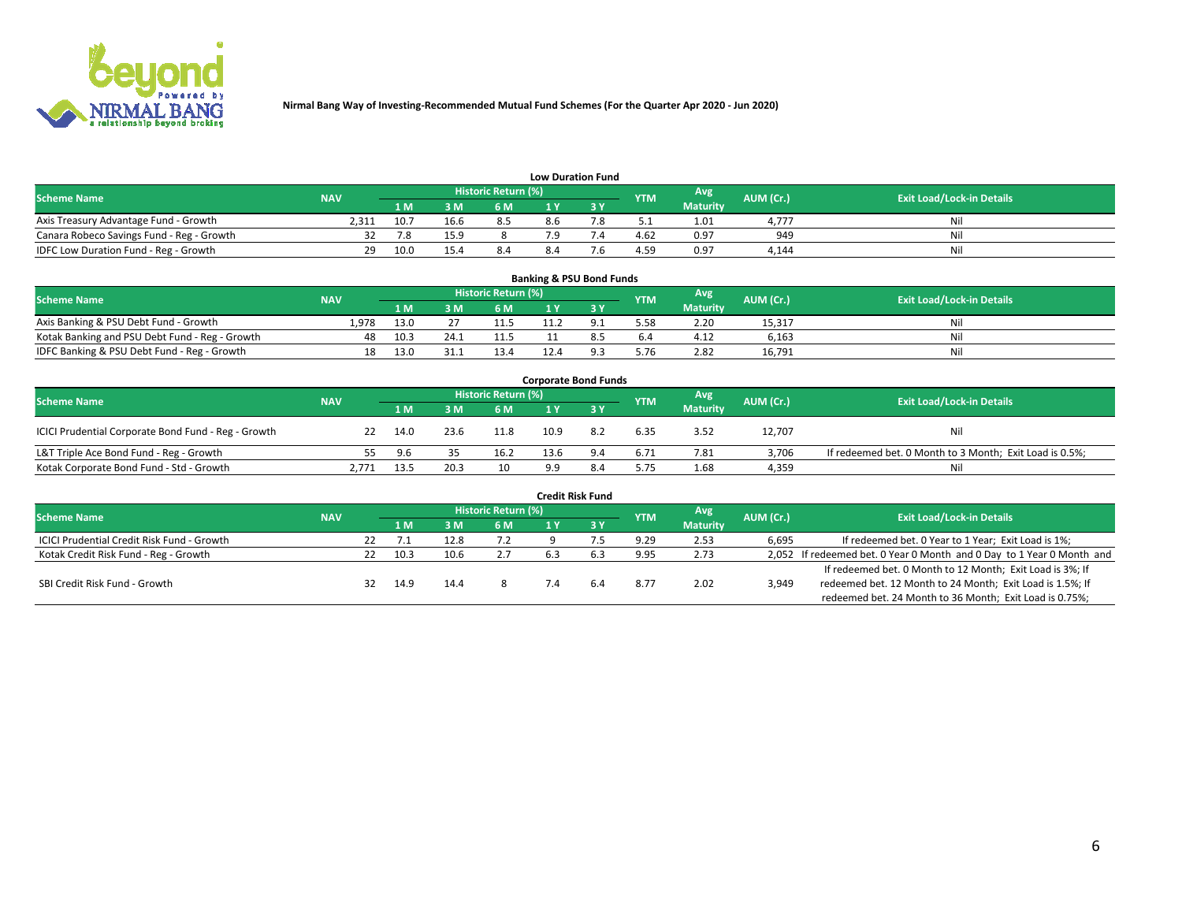

| <b>Low Duration Fund</b> |
|--------------------------|
|--------------------------|

| -----------------                         |            |      |      |                      |     |    |            |                 |           |                                  |  |  |  |
|-------------------------------------------|------------|------|------|----------------------|-----|----|------------|-----------------|-----------|----------------------------------|--|--|--|
| <b>Scheme Name</b>                        | <b>NAV</b> |      |      | Historic Return (%)' |     |    | <b>YTM</b> | Avg             | (AUM (Cr. | <b>Exit Load/Lock-in Details</b> |  |  |  |
|                                           |            | 1 M  | 3 M  | 6 M                  |     |    |            | <b>Maturity</b> |           |                                  |  |  |  |
| Axis Treasury Advantage Fund - Growth     | 2.311      | 10.7 | 16.6 |                      | 8.6 | ه. | ۲.۱ پ      | 1.01            | 4.777     | Nil                              |  |  |  |
| Canara Robeco Savings Fund - Reg - Growth |            |      | 15.9 |                      |     |    | 4.62       | 0.97            | 949       | Ni                               |  |  |  |
| IDFC Low Duration Fund - Reg - Growth     | 29         | 10.0 |      | 8.4                  |     |    | 4.59       | 0.97            | 4.144     | Nil                              |  |  |  |

| <b>Banking &amp; PSU Bond Funds</b>            |            |      |      |                            |  |  |            |                 |           |                                  |  |  |  |
|------------------------------------------------|------------|------|------|----------------------------|--|--|------------|-----------------|-----------|----------------------------------|--|--|--|
| <b>Scheme Name</b>                             | <b>NAV</b> |      |      | <b>Historic Return (%)</b> |  |  | <b>YTM</b> | Avg             | AUM (Cr.) | <b>Exit Load/Lock-in Details</b> |  |  |  |
|                                                |            | 1 M  | ЗM   | 6 M                        |  |  |            | <b>Maturity</b> |           |                                  |  |  |  |
| Axis Banking & PSU Debt Fund - Growth          | 1.978      | 13.0 |      | 11.5                       |  |  | 5.58       | 2.20            | 15,317    | Nil                              |  |  |  |
| Kotak Banking and PSU Debt Fund - Reg - Growth | 48         | 10.3 | 24.1 | 11.5                       |  |  | 6.4        | 4.12            | 6.163     | Nil                              |  |  |  |
| IDFC Banking & PSU Debt Fund - Reg - Growth    | 18         | 13.0 |      | 13.4                       |  |  | 5.76       | 2.82            | 16,791    | Nil                              |  |  |  |

| <b>Corporate Bond Funds</b>                         |            |      |      |                     |      |     |            |                 |           |                                                         |  |  |  |  |
|-----------------------------------------------------|------------|------|------|---------------------|------|-----|------------|-----------------|-----------|---------------------------------------------------------|--|--|--|--|
| <b>Scheme Name</b>                                  | <b>NAV</b> |      |      | Historic Return (%) |      |     | <b>YTM</b> | Avg             | AUM (Cr.) | <b>Exit Load/Lock-in Details</b>                        |  |  |  |  |
|                                                     |            | 1 M  | 3 M  | 6 M                 |      |     |            | <b>Maturity</b> |           |                                                         |  |  |  |  |
| ICICI Prudential Corporate Bond Fund - Reg - Growth | 22         | 14.0 | 23.6 | 11.8                | 10.9 | 8.2 | 6.35       | 3.52            | 12,707    | Nil                                                     |  |  |  |  |
| L&T Triple Ace Bond Fund - Reg - Growth             |            | 9.6  |      | 16.2                | 13.6 | 9.4 | 6.71       | 7.81            | 3,706     | If redeemed bet. 0 Month to 3 Month; Exit Load is 0.5%; |  |  |  |  |
| Kotak Corporate Bond Fund - Std - Growth            | 2.771      | 13.5 | 20.3 | 10                  | 9.9  | 8.4 | 5.75       | 1.68            | 4,359     | Nil                                                     |  |  |  |  |

| <b>Credit Risk Fund</b>                    |            |     |      |      |                            |     |  |            |                 |           |                                                                       |  |  |  |
|--------------------------------------------|------------|-----|------|------|----------------------------|-----|--|------------|-----------------|-----------|-----------------------------------------------------------------------|--|--|--|
| <b>Scheme Name</b>                         | <b>NAV</b> |     |      |      | <b>Historic Return (%)</b> |     |  | <b>YTM</b> | Avg             | AUM (Cr.) | <b>Exit Load/Lock-in Details</b>                                      |  |  |  |
|                                            |            |     | 1 M  | 3 M  | 6 M                        |     |  |            | <b>Maturity</b> |           |                                                                       |  |  |  |
| ICICI Prudential Credit Risk Fund - Growth |            | 22. |      | 12.8 | 7.2                        |     |  | 9.29       | 2.53            | 6,695     | If redeemed bet. 0 Year to 1 Year; Exit Load is 1%;                   |  |  |  |
| Kotak Credit Risk Fund - Reg - Growth      |            | 22  | 10.3 | 10.6 | 2.7                        | 6.3 |  | 9.95       | 2.73            |           | 2,052 If redeemed bet. 0 Year 0 Month and 0 Day to 1 Year 0 Month and |  |  |  |
|                                            |            |     |      |      |                            |     |  |            |                 |           | If redeemed bet. 0 Month to 12 Month; Exit Load is 3%; If             |  |  |  |
| SBI Credit Risk Fund - Growth              |            |     | 14.9 | 14.4 |                            |     |  | 8.77       | 2.02            | 3,949     | redeemed bet. 12 Month to 24 Month; Exit Load is 1.5%; If             |  |  |  |
|                                            |            |     |      |      |                            |     |  |            |                 |           | redeemed bet. 24 Month to 36 Month; Exit Load is 0.75%;               |  |  |  |